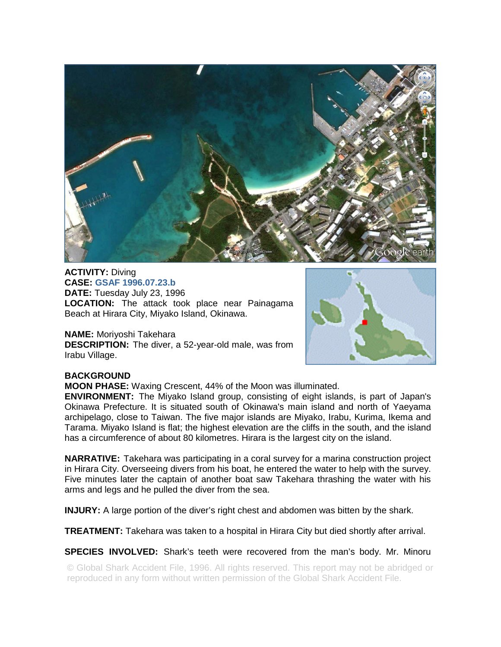

**ACTIVITY:** Diving **CASE: GSAF 1996.07.23.b DATE:** Tuesday July 23, 1996 **LOCATION:** The attack took place near Painagama Beach at Hirara City, Miyako Island, Okinawa.

## **NAME:** Moriyoshi Takehara

**DESCRIPTION:** The diver, a 52-year-old male, was from Irabu Village.



## **BACKGROUND**

**MOON PHASE:** Waxing Crescent, 44% of the Moon was illuminated.

**ENVIRONMENT:** The Miyako Island group, consisting of eight islands, is part of Japan's Okinawa Prefecture. It is situated south of Okinawa's main island and north of Yaeyama archipelago, close to Taiwan. The five major islands are Miyako, Irabu, Kurima, Ikema and Tarama. Miyako Island is flat; the highest elevation are the cliffs in the south, and the island has a circumference of about 80 kilometres. Hirara is the largest city on the island.

**NARRATIVE:** Takehara was participating in a coral survey for a marina construction project in Hirara City. Overseeing divers from his boat, he entered the water to help with the survey. Five minutes later the captain of another boat saw Takehara thrashing the water with his arms and legs and he pulled the diver from the sea.

**INJURY:** A large portion of the diver's right chest and abdomen was bitten by the shark.

**TREATMENT:** Takehara was taken to a hospital in Hirara City but died shortly after arrival.

**SPECIES INVOLVED:** Shark's teeth were recovered from the man's body. Mr. Minoru

© Global Shark Accident File, 1996. All rights reserved. This report may not be abridged or reproduced in any form without written permission of the Global Shark Accident File.